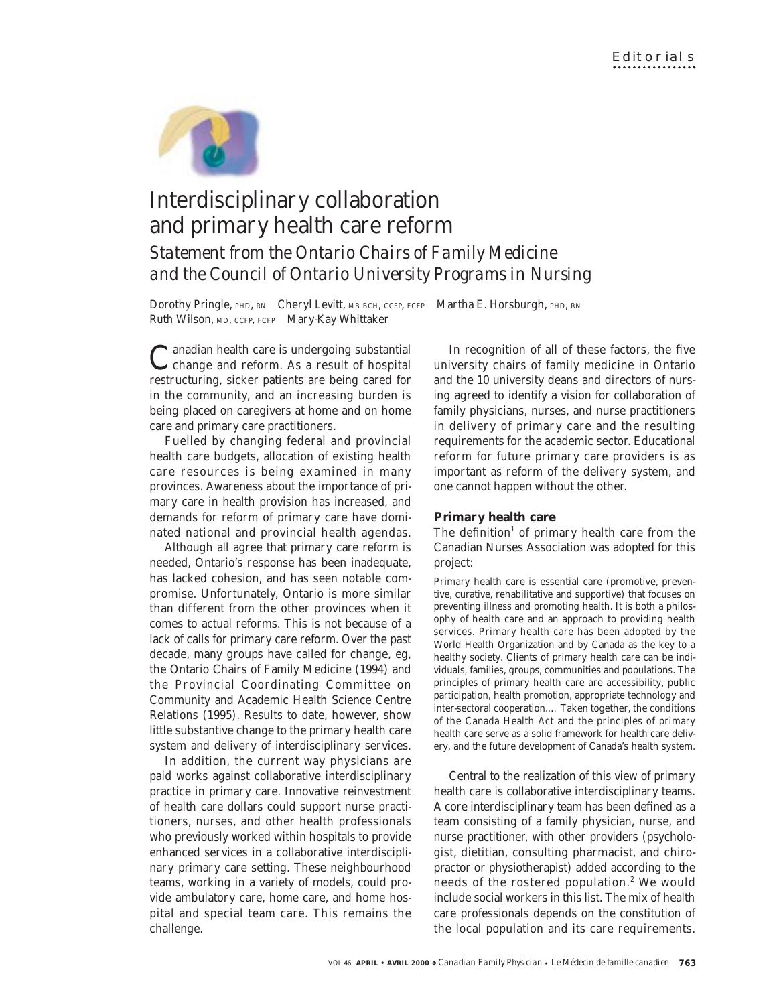

# Interdisciplinary collaboration and primary health care reform

*Statement from the Ontario Chairs of Family Medicine and the Council of Ontario University Programs in Nursing*

Dorothy Pringle, PHD, RN Cheryl Levitt, MB BCH, CCFP, FCFP Martha E. Horsburgh, PHD, RN Ruth Wilson, MD, CCFP, FCFP Mary-Kay Whittaker

Canadian health care is undergoing substantial change and reform. As a result of hospital restructuring, sicker patients are being cared for in the community, and an increasing burden is being placed on caregivers at home and on home care and primary care practitioners.

Fuelled by changing federal and provincial health care budgets, allocation of existing health care resources is being examined in many provinces. Awareness about the importance of primary care in health provision has increased, and demands for reform of primary care have dominated national and provincial health agendas.

Although all agree that primary care reform is needed, Ontario's response has been inadequate, has lacked cohesion, and has seen notable compromise. Unfortunately, Ontario is more similar than different from the other provinces when it comes to actual reforms. This is not because of a lack of calls for primary care reform. Over the past decade, many groups have called for change, eg, the Ontario Chairs of Family Medicine (1994) and the Provincial Coordinating Committee on Community and Academic Health Science Centre Relations (1995). Results to date, however, show little substantive change to the primary health care system and delivery of interdisciplinary services.

In addition, the current way physicians are paid works against collaborative interdisciplinary practice in primary care. Innovative reinvestment of health care dollars could support nurse practitioners, nurses, and other health professionals who previously worked within hospitals to provide enhanced services in a collaborative interdisciplinary primary care setting. These neighbourhood teams, working in a variety of models, could provide ambulatory care, home care, and home hospital and special team care. This remains the challenge.

In recognition of all of these factors, the five university chairs of family medicine in Ontario and the 10 university deans and directors of nursing agreed to identify a vision for collaboration of family physicians, nurses, and nurse practitioners in delivery of primary care and the resulting requirements for the academic sector. Educational reform for future primary care providers is as important as reform of the delivery system, and one cannot happen without the other.

## **Primary health care**

The definition<sup>1</sup> of primary health care from the Canadian Nurses Association was adopted for this project:

Primary health care is essential care (promotive, preventive, curative, rehabilitative and supportive) that focuses on preventing illness and promoting health. It is both a philosophy of health care and an approach to providing health services. Primary health care has been adopted by the World Health Organization and by Canada as the key to a healthy society. Clients of primary health care can be individuals, families, groups, communities and populations. The principles of primary health care are accessibility, public participation, health promotion, appropriate technology and inter-sectoral cooperation.… Taken together, the conditions of the Canada Health Act and the principles of primary health care serve as a solid framework for health care delivery, and the future development of Canada's health system.

Central to the realization of this view of primary health care is collaborative interdisciplinary teams. A core interdisciplinary team has been defined as a team consisting of a family physician, nurse, and nurse practitioner, with other providers (psychologist, dietitian, consulting pharmacist, and chiropractor or physiotherapist) added according to the needs of the rostered population.<sup>2</sup> We would include social workers in this list. The mix of health care professionals depends on the constitution of the local population and its care requirements.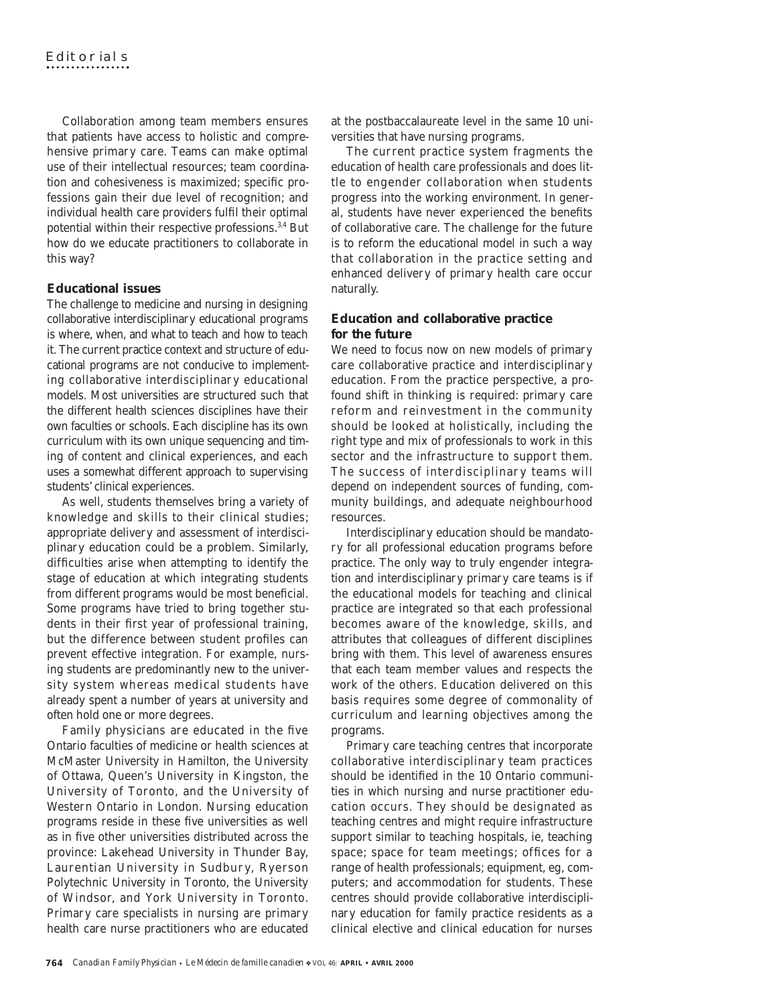Collaboration among team members ensures that patients have access to holistic and comprehensive primary care. Teams can make optimal use of their intellectual resources; team coordination and cohesiveness is maximized; specific professions gain their due level of recognition; and individual health care providers fulfil their optimal potential within their respective professions.<sup>3,4</sup> But how do we educate practitioners to collaborate in this way?

## **Educational issues**

The challenge to medicine and nursing in designing collaborative interdisciplinary educational programs is where, when, and what to teach and how to teach it. The current practice context and structure of educational programs are not conducive to implementing collaborative interdisciplinary educational models. Most universities are structured such that the different health sciences disciplines have their own faculties or schools. Each discipline has its own curriculum with its own unique sequencing and timing of content and clinical experiences, and each uses a somewhat different approach to supervising students' clinical experiences.

As well, students themselves bring a variety of knowledge and skills to their clinical studies; appropriate delivery and assessment of interdisciplinary education could be a problem. Similarly, difficulties arise when attempting to identify the stage of education at which integrating students from different programs would be most beneficial. Some programs have tried to bring together students in their first year of professional training, but the difference between student profiles can prevent effective integration. For example, nursing students are predominantly new to the university system whereas medical students have already spent a number of years at university and often hold one or more degrees.

Family physicians are educated in the five Ontario faculties of medicine or health sciences at McMaster University in Hamilton, the University of Ottawa, Queen's University in Kingston, the University of Toronto, and the University of Western Ontario in London. Nursing education programs reside in these five universities as well as in five other universities distributed across the province: Lakehead University in Thunder Bay, Laurentian University in Sudbury, Ryerson Polytechnic University in Toronto, the University of Windsor, and York University in Toronto. Primary care specialists in nursing are primary health care nurse practitioners who are educated

at the postbaccalaureate level in the same 10 universities that have nursing programs.

The current practice system fragments the education of health care professionals and does little to engender collaboration when students progress into the working environment. In general, students have never experienced the benefits of collaborative care. The challenge for the future is to reform the educational model in such a way that collaboration in the practice setting and enhanced delivery of primary health care occur naturally.

# **Education and collaborative practice for the future**

We need to focus now on new models of primary care collaborative practice and interdisciplinary education. From the practice perspective, a profound shift in thinking is required: primary care reform and reinvestment in the community should be looked at holistically, including the right type and mix of professionals to work in this sector and the infrastructure to support them. The success of interdisciplinary teams will depend on independent sources of funding, community buildings, and adequate neighbourhood resources.

Interdisciplinary education should be mandatory for all professional education programs before practice. The only way to truly engender integration and interdisciplinary primary care teams is if the educational models for teaching and clinical practice are integrated so that each professional becomes aware of the knowledge, skills, and attributes that colleagues of different disciplines bring with them. This level of awareness ensures that each team member values and respects the work of the others. Education delivered on this basis requires some degree of commonality of curriculum and learning objectives among the programs.

Primary care teaching centres that incorporate collaborative interdisciplinary team practices should be identified in the 10 Ontario communities in which nursing and nurse practitioner education occurs. They should be designated as teaching centres and might require infrastructure support similar to teaching hospitals, ie, teaching space; space for team meetings; offices for a range of health professionals; equipment, eg, computers; and accommodation for students. These centres should provide collaborative interdisciplinary education for family practice residents as a clinical elective and clinical education for nurses